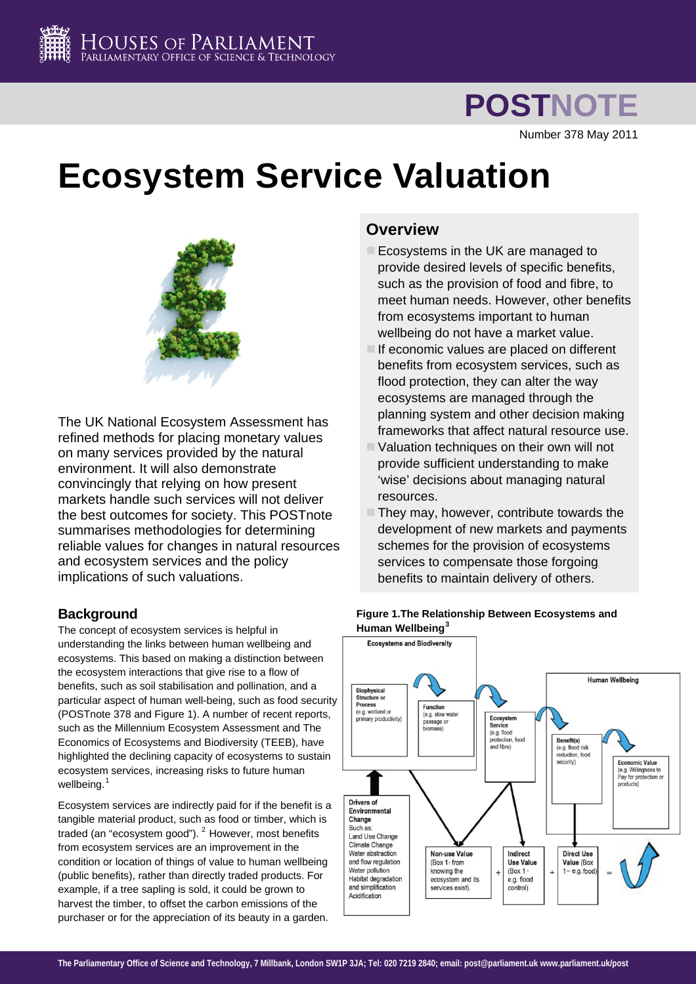

**POSTNOTE**

Number 378 May 2011

# **Ecosystem Service Valuation**



The UK National Ecosystem Assessment has refined methods for placing monetary values on many services provided by the natural environment. It will also demonstrate convincingly that relying on how present markets handle such services will not deliver the best outcomes for society. This POSTnote summarises methodologies for determining reliable values for changes in natural resources and ecosystem services and the policy implications of such valuations.

# **Background**

The concept of ecosystem services is helpful in understanding the links between human wellbeing and ecosystems. This based on making a distinction between the ecosystem interactions that give rise to a flow of benefits, such as soil stabilisation and pollination, and a particular aspect of human well-being, such as food security (POSTnote 378 and Figure 1). A number of recent reports, such as the Millennium Ecosystem Assessment and The Economics of Ecosystems and Biodiversity (TEEB), have highlighted the declining capacity of ecosystems to sustain ecosystem services, increasing risks to future human wellbeing.<sup>[1](#page-3-0)</sup>

<span id="page-0-0"></span>Ecosystem services are indirectly paid for if the benefit is a tangible material product, such as food or timber, which is traded (an "ecosystem good"). <sup>[2](#page-3-1)</sup> However, most benefits from ecosystem services are an improvement in the condition or location of things of value to human wellbeing (public benefits), rather than directly traded products. For example, if a tree sapling is sold, it could be grown to harvest the timber, to offset the carbon emissions of the purchaser or for the appreciation of its beauty in a garden.

# **Overview**

- Ecosystems in the UK are managed to provide desired levels of specific benefits, such as the provision of food and fibre, to meet human needs. However, other benefits from ecosystems important to human wellbeing do not have a market value.
- If economic values are placed on different benefits from ecosystem services, such as flood protection, they can alter the way ecosystems are managed through the planning system and other decision making frameworks that affect natural resource use.
- Valuation techniques on their own will not provide sufficient understanding to make 'wise' decisions about managing natural resources.
- They may, however, contribute towards the development of new markets and payments schemes for the provision of ecosystems services to compensate those forgoing benefits to maintain delivery of others.



# **Figure 1.The Relationship Between Ecosystems and Human Wellbeing[3](#page-3-1)**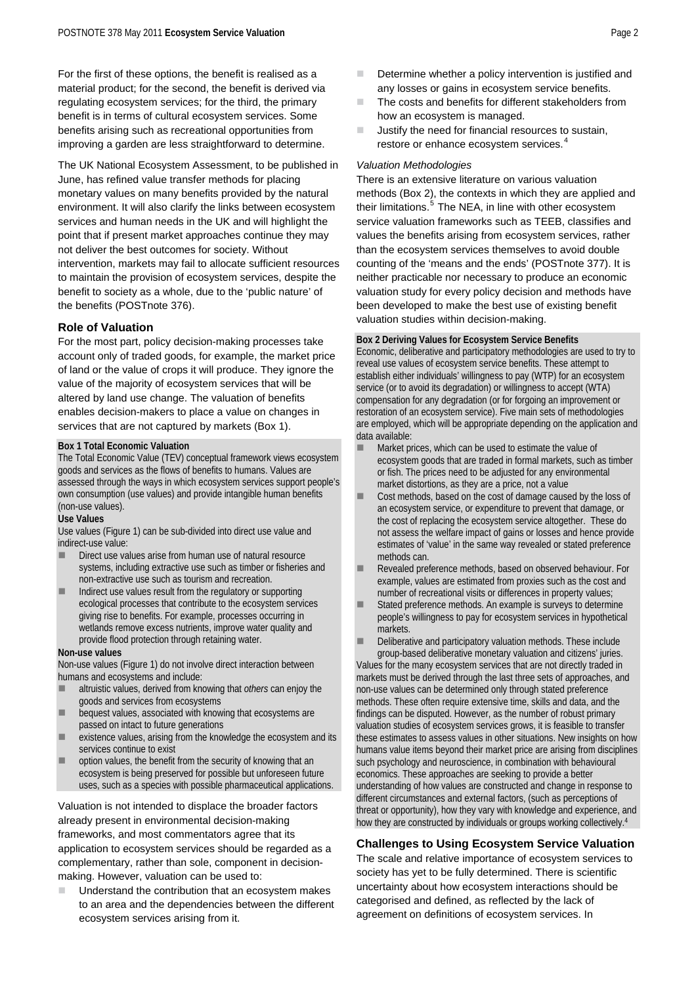For the first of these options, the benefit is realised as a material product; for the second, the benefit is derived via regulating ecosystem services; for the third, the primary benefit is in terms of cultural ecosystem services. Some benefits arising such as recreational opportunities from improving a garden are less straightforward to determine.

<span id="page-1-1"></span><span id="page-1-0"></span>The UK National Ecosystem Assessment, to be published in June, has refined value transfer methods for placing monetary values on many benefits provided by the natural environment. It will also clarify the links between ecosystem services and human needs in the UK and will highlight the point that if present market approaches continue they may not deliver the best outcomes for society. Without intervention, markets may fail to allocate sufficient resources to maintain the provision of ecosystem services, despite the benefit to society as a whole, due to the 'public nature' of the benefits (POSTnote 376).

## **Role of Valuation**

For the most part, policy decision-making processes take account only of traded goods, for example, the market price of land or the value of crops it will produce. They ignore the value of the majority of ecosystem services that will be altered by land use change. The valuation of benefits enables decision-makers to place a value on changes in services that are not captured by markets (Box 1).

### **Box 1 Total Economic Valuation**

The Total Economic Value (TEV) conceptual framework views ecosystem goods and services as the flows of benefits to humans. Values are assessed through the ways in which ecosystem services support people's own consumption (use values) and provide intangible human benefits (non-use values).

#### **Use Values**

Use values (Figure 1) can be sub-divided into direct use value and indirect-use value:

- Direct use values arise from human use of natural resource systems, including extractive use such as timber or fisheries and non-extractive use such as tourism and recreation.
- Indirect use values result from the regulatory or supporting ecological processes that contribute to the ecosystem services giving rise to benefits. For example, processes occurring in wetlands remove excess nutrients, improve water quality and provide flood protection through retaining water.

#### **Non-use values**

Non-use values (Figure 1) do not involve direct interaction between humans and ecosystems and include:

- altruistic values, derived from knowing that *others* can enjoy the goods and services from ecosystems
- bequest values, associated with knowing that ecosystems are passed on intact to future generations
- existence values, arising from the knowledge the ecosystem and its services continue to exist
- option values, the benefit from the security of knowing that an ecosystem is being preserved for possible but unforeseen future uses, such as a species with possible pharmaceutical applications.

Valuation is not intended to displace the broader factors already present in environmental decision-making frameworks, and most commentators agree that its application to ecosystem services should be regarded as a complementary, rather than sole, component in decisionmaking. However, valuation can be used to:

 Understand the contribution that an ecosystem makes to an area and the dependencies between the different ecosystem services arising from it.

- Determine whether a policy intervention is justified and any losses or gains in ecosystem service benefits.
- The costs and benefits for different stakeholders from how an ecosystem is managed.
- $\blacksquare$  Justify the need for financial resources to sustain, restore or enhance ecosystem services.<sup>[4](#page-3-1)</sup>

#### *Valuation Methodologies*

There is an extensive literature on various valuation methods (Box 2), the contexts in which they are applied and their limitations.<sup>[5](#page-3-1)</sup> The NEA, in line with other ecosystem service valuation frameworks such as TEEB, classifies and values the benefits arising from ecosystem services, rather than the ecosystem services themselves to avoid double counting of the 'means and the ends' (POSTnote 377). It is neither practicable nor necessary to produce an economic valuation study for every policy decision and methods have been developed to make the best use of existing benefit valuation studies within decision-making.

#### **Box 2 Deriving Values for Ecosystem Service Benefits**

Economic, deliberative and participatory methodologies are used to try to reveal use values of ecosystem service benefits. These attempt to establish either individuals' willingness to pay (WTP) for an ecosystem service (or to avoid its degradation) or willingness to accept (WTA) compensation for any degradation (or for forgoing an improvement or restoration of an ecosystem service). Five main sets of methodologies are employed, which will be appropriate depending on the application and data available:

- Market prices, which can be used to estimate the value of ecosystem goods that are traded in formal markets, such as timber or fish. The prices need to be adjusted for any environmental market distortions, as they are a price, not a value
- Cost methods, based on the cost of damage caused by the loss of an ecosystem service, or expenditure to prevent that damage, or the cost of replacing the ecosystem service altogether. These do not assess the welfare impact of gains or losses and hence provide estimates of 'value' in the same way revealed or stated preference methods can.
- Revealed preference methods, based on observed behaviour. For example, values are estimated from proxies such as the cost and number of recreational visits or differences in property values;
- Stated preference methods. An example is surveys to determine people's willingness to pay for ecosystem services in hypothetical markets.
- Deliberative and participatory valuation methods. These include group-based deliberative monetary valuation and citizens' juries.

Values for the many ecosystem services that are not directly traded in markets must be derived through the last three sets of approaches, and non-use values can be determined only through stated preference methods. These often require extensive time, skills and data, and the findings can be disputed. However, as the number of robust primary valuation studies of ecosystem services grows, it is feasible to transfer these estimates to assess values in other situations. New insights on how humans value items beyond their market price are arising from disciplines such psychology and neuroscience, in combination with behavioural economics. These approaches are seeking to provide a better understanding of how values are constructed and change in response to different circumstances and external factors, (such as perceptions of threat or opportunity), how they vary with knowledge and experience, a[n](#page-1-0)d how they are constructed by individuals or groups working collectively[.4](#page-1-0)

# **Challenges to Using Ecosystem Service Valuation**

The scale and relative importance of ecosystem services to society has yet to be fully determined. There is scientific uncertainty about how ecosystem interactions should be categorised and defined, as reflected by the lack of agreement on definitions of ecosystem services. In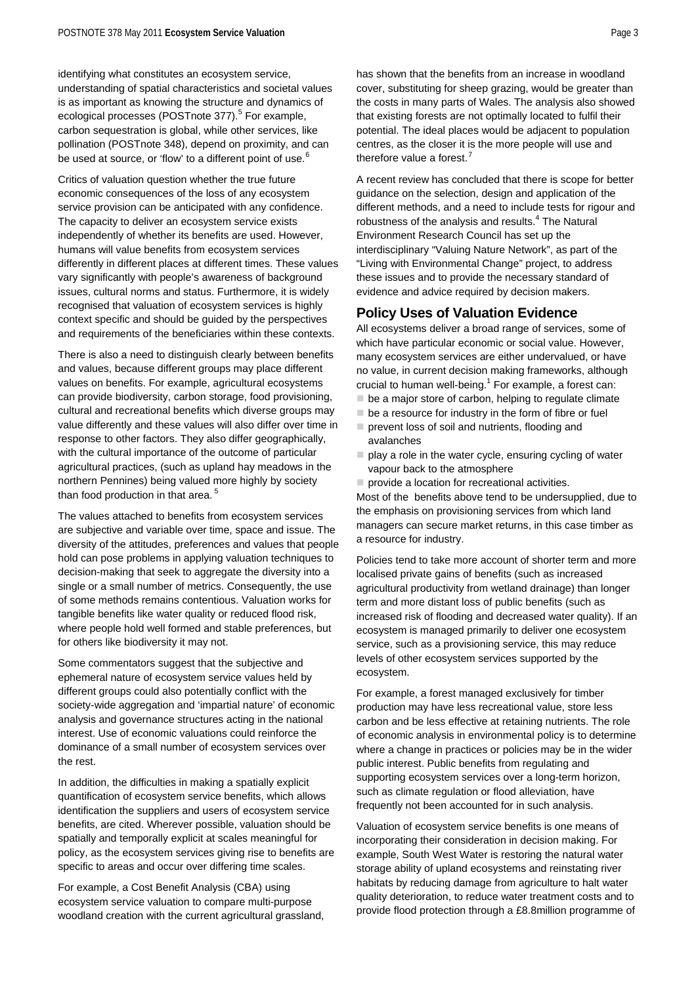identifying what constitutes an ecosystem service, understanding of spatial characteristics and societal values is as important as knowing the structure and dynamics of ecological processes (POSTnote 377).<sup>[5](#page-1-1)</sup> For example, carbon sequestration is global, while other services, like pollination (POSTnote 348), depend on proximity, and can be used at source, or 'flow' to a different point of use.<sup>[6](#page-3-1)</sup>

Critics of valuation question whether the true future economic consequences of the loss of any ecosystem service provision can be anticipated with any confidence. The capacity to deliver an ecosystem service exists independently of whether its benefits are used. However, humans will value benefits from ecosystem services differently in different places at different times. These values vary significantly with people's awareness of background issues, cultural norms and status. Furthermore, it is widely recognised that valuation of ecosystem services is highly context specific and should be guided by the perspectives and requirements of the beneficiaries within these contexts.

There is also a need to distinguish clearly between benefits and values, because different groups may place different values on benefits. For example, agricultural ecosystems can provide biodiversity, carbon storage, food provisioning, cultural and recreational benefits which diverse groups may value differently and these values will also differ over time in response to other factors. They also differ geographically, with the cultural importance of the outcome of particular agricultural practices, (such as upland hay meadows in the northern Pennines) being valued more highly by society than food production in that area.<sup>[5](#page-1-1)</sup>

The values attached to benefits from ecosystem services are subjective and variable over time, space and issue. The diversity of the attitudes, preferences and values that people hold can pose problems in applying valuation techniques to decision-making that seek to aggregate the diversity into a single or a small number of metrics. Consequently, the use of some methods remains contentious. Valuation works for tangible benefits like water quality or reduced flood risk, where people hold well formed and stable preferences, but for others like biodiversity it may not.

Some commentators suggest that the subjective and ephemeral nature of ecosystem service values held by different groups could also potentially conflict with the society-wide aggregation and 'impartial nature' of economic analysis and governance structures acting in the national interest. Use of economic valuations could reinforce the dominance of a small number of ecosystem services over the rest.

In addition, the difficulties in making a spatially explicit quantification of ecosystem service benefits, which allows identification the suppliers and users of ecosystem service benefits, are cited. Wherever possible, valuation should be spatially and temporally explicit at scales meaningful for policy, as the ecosystem services giving rise to benefits are specific to areas and occur over differing time scales.

For example, a Cost Benefit Analysis (CBA) using ecosystem service valuation to compare multi-purpose woodland creation with the current agricultural grassland, has shown that the benefits from an increase in woodland cover, substituting for sheep grazing, would be greater than the costs in many parts of Wales. The analysis also showed that existing forests are not optimally located to fulfil their potential. The ideal places would be adjacent to population centres, as the closer it is the more people will use and therefore value a forest.<sup>[7](#page-3-1)</sup>

A recent review has concluded that there is scope for better guidance on the selection, design and application of the different methods, and a need to include tests for rigour and robustness of the analysis and results.<sup>[4](#page-1-0)</sup> The Natural Environment Research Council has set up the interdisciplinary "Valuing Nature Network", as part of the "Living with Environmental Change" project, to address these issues and to provide the necessary standard of evidence and advice required by decision makers.

# **Policy Uses of Valuation Evidence**

All ecosystems deliver a broad range of services, some of which have particular economic or social value. However, many ecosystem services are either undervalued, or have no value, in current decision making frameworks, although crucial to human well-being. $1$  For example, a forest can:

- $\blacksquare$  be a major store of carbon, helping to regulate climate
- $\blacksquare$  be a resource for industry in the form of fibre or fuel  $\blacksquare$  prevent loss of soil and nutrients, flooding and
- avalanches
- $\blacksquare$  play a role in the water cycle, ensuring cycling of water vapour back to the atmosphere
- $\blacksquare$  provide a location for recreational activities.

Most of the benefits above tend to be undersupplied, due to the emphasis on provisioning services from which land managers can secure market returns, in this case timber as a resource for industry.

Policies tend to take more account of shorter term and more localised private gains of benefits (such as increased agricultural productivity from wetland drainage) than longer term and more distant loss of public benefits (such as increased risk of flooding and decreased water quality). If an ecosystem is managed primarily to deliver one ecosystem service, such as a provisioning service, this may reduce levels of other ecosystem services supported by the ecosystem.

For example, a forest managed exclusively for timber production may have less recreational value, store less carbon and be less effective at retaining nutrients. The role of economic analysis in environmental policy is to determine where a change in practices or policies may be in the wider public interest. Public benefits from regulating and supporting ecosystem services over a long-term horizon, such as climate regulation or flood alleviation, have frequently not been accounted for in such analysis.

Valuation of ecosystem service benefits is one means of incorporating their consideration in decision making. For example, South West Water is restoring the natural water storage ability of upland ecosystems and reinstating river habitats by reducing damage from agriculture to halt water quality deterioration, to reduce water treatment costs and to provide flood protection through a £8.8million programme of